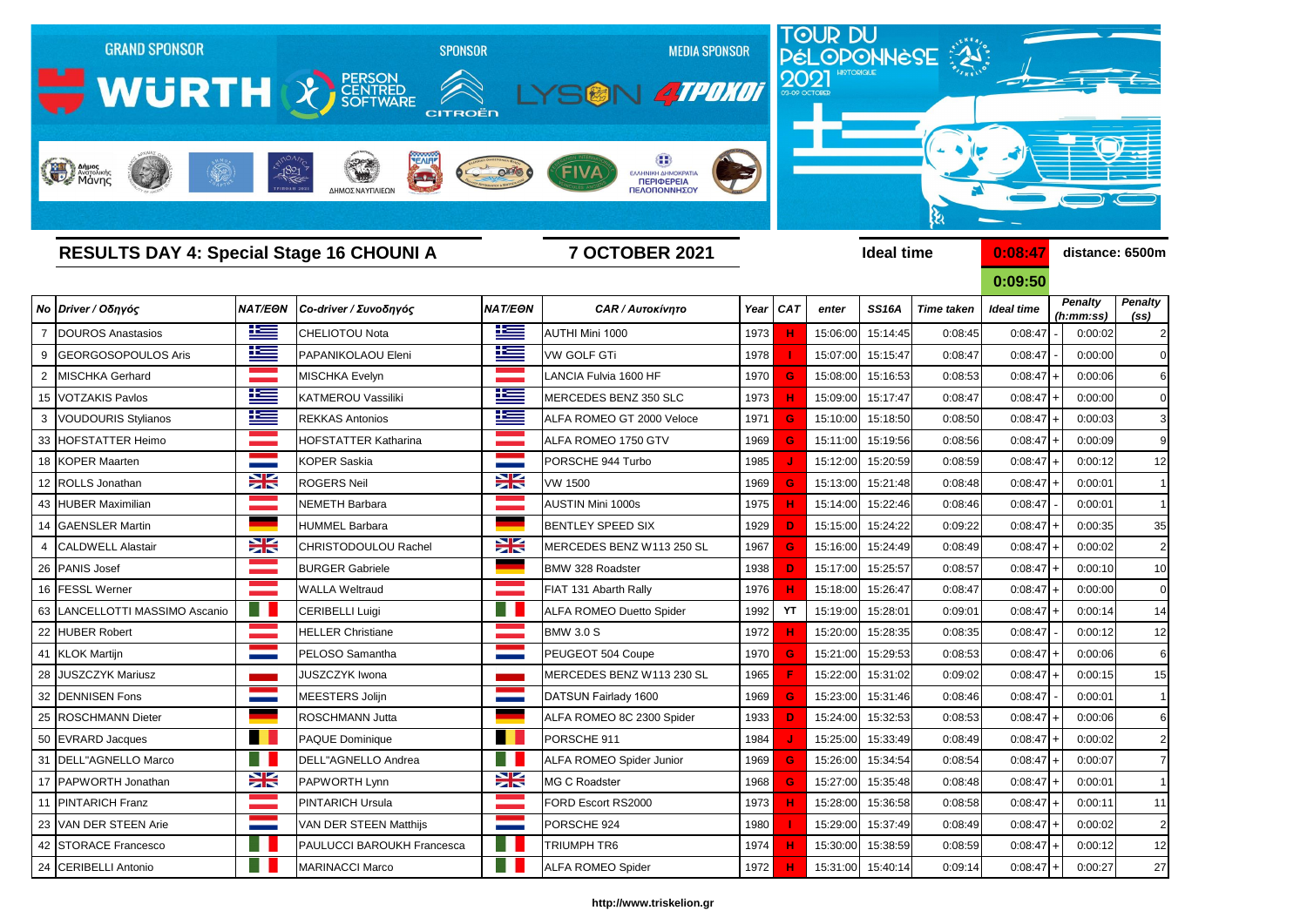

**0:09:50**

|                                  |                          |                                   |                |                                 |      |            |          |                   |                   | v.vv.vv           |  |                             |                                     |
|----------------------------------|--------------------------|-----------------------------------|----------------|---------------------------------|------|------------|----------|-------------------|-------------------|-------------------|--|-----------------------------|-------------------------------------|
| <b>No Driver / Οδηγός</b>        | <b>NAT/EON</b>           | Co-driver / Συνοδηγός             | <b>NAT/EON</b> | <b>CAR / Αυτοκίνητο</b>         |      | Year $CAT$ | enter    | <b>SS16A</b>      | <b>Time taken</b> | <b>Ideal time</b> |  | <b>Penalty</b><br>(h:mm:ss) | <b>Penalty</b><br>(s <sub>s</sub> ) |
| DOUROS Anastasios                | <u>is –</u>              | CHELIOTOU Nota                    | <u>is –</u>    | AUTHI Mini 1000                 | 1973 |            | 15:06:00 | 15:14:45          | 0:08:45           | 0:08:47           |  | 0:00:02                     | $\overline{2}$                      |
| 9 GEORGOSOPOULOS Aris            | 坚                        | PAPANIKOLAOU Eleni                | <u>ik s</u>    | <b>VW GOLF GTi</b>              | 1978 |            | 15:07:00 | 15:15:47          | 0:08:47           | 0:08:47           |  | 0:00:00                     | $\Omega$                            |
| 2 MISCHKA Gerhard                |                          | MISCHKA Evelyn                    |                | LANCIA Fulvia 1600 HF           | 1970 |            | 15:08:00 | 15:16:53          | 0:08:53           | 0:08:47           |  | 0:00:06                     | 6                                   |
| 15 VOTZAKIS Pavlos               | <u>r </u>                | KATMEROU Vassiliki                | <u> عن</u>     | MERCEDES BENZ 350 SLC           | 1973 |            | 15:09:00 | 15:17:47          | 0:08:47           | 0:08:47           |  | 0:00:00                     | $\mathbf 0$                         |
| 3   VOUDOURIS Stylianos          | ٢                        | <b>REKKAS Antonios</b>            | 些              | ALFA ROMEO GT 2000 Veloce       | 1971 | G          | 15:10:00 | 15:18:50          | 0:08:50           | 0:08:47           |  | 0:00:03                     | 3                                   |
| 33 HOFSTATTER Heimo              |                          | <b>HOFSTATTER Katharina</b>       |                | ALFA ROMEO 1750 GTV             | 1969 |            | 15:11:00 | 15:19:56          | 0:08:56           | 0:08:47           |  | 0:00:09                     | 9                                   |
| 18 KOPER Maarten                 |                          | <b>KOPER Saskia</b>               |                | PORSCHE 944 Turbo               | 1985 |            | 15:12:00 | 15:20:59          | 0:08:59           | 0:08:47           |  | 0:00:12                     | 12                                  |
| 12 ROLLS Jonathan                | X                        | <b>ROGERS Neil</b>                | $\geq$         | <b>VW 1500</b>                  | 1969 | G          | 15:13:00 | 15:21:48          | 0:08:48           | 0:08:47           |  | 0:00:01                     |                                     |
| 43 HUBER Maximilian              |                          | NEMETH Barbara                    |                | <b>AUSTIN Mini 1000s</b>        | 1975 |            | 15:14:00 | 15:22:46          | 0:08:46           | 0:08:47           |  | 0:00:01                     | $\mathbf{1}$                        |
| 14 GAENSLER Martin               |                          | <b>HUMMEL Barbara</b>             |                | <b>BENTLEY SPEED SIX</b>        | 1929 | D          | 15:15:00 | 15:24:22          | 0:09:22           | 0:08:47           |  | 0:00:35                     | 35                                  |
| 4 CALDWELL Alastair              | X                        | CHRISTODOULOU Rachel              | X              | MERCEDES BENZ W113 250 SL       | 1967 | G          | 15:16:00 | 15:24:49          | 0:08:49           | 0:08:47           |  | 0:00:02                     | $\overline{2}$                      |
| 26 PANIS Josef                   |                          | <b>BURGER Gabriele</b>            |                | <b>BMW 328 Roadster</b>         | 1938 | D          | 15:17:00 | 15:25:57          | 0:08:57           | 0:08:47           |  | 0:00:10                     | 10                                  |
| 16 FESSL Werner                  |                          | <b>WALLA Weltraud</b>             |                | FIAT 131 Abarth Rally           | 1976 |            | 15:18:00 | 15:26:47          | 0:08:47           | 0:08:47           |  | 0:00:00                     | $\mathbf 0$                         |
| 63   LANCELLOTTI MASSIMO Ascanio |                          | <b>CERIBELLI Luigi</b>            |                | <b>ALFA ROMEO Duetto Spider</b> | 1992 | <b>YT</b>  | 15:19:00 | 15:28:01          | 0:09:01           | 0:08:47           |  | 0:00:14                     | 14                                  |
| 22 HUBER Robert                  |                          | <b>HELLER Christiane</b>          |                | <b>BMW 3.0 S</b>                | 1972 |            | 15:20:00 | 15:28:35          | 0:08:35           | 0:08:47           |  | 0:00:12                     | 12                                  |
| 41 KLOK Martijn                  |                          | PELOSO Samantha                   |                | PEUGEOT 504 Coupe               | 1970 | G          | 15:21:00 | 15:29:53          | 0:08:53           | 0:08:47           |  | 0:00:06                     | 6                                   |
| 28 JUSZCZYK Mariusz              |                          | <b>JUSZCZYK Iwona</b>             |                | MERCEDES BENZ W113 230 SL       | 1965 |            | 15:22:00 | 15:31:02          | 0:09:02           | 0:08:47           |  | 0:00:15                     | 15                                  |
| 32 DENNISEN Fons                 |                          | MEESTERS Jolijn                   |                | DATSUN Fairlady 1600            | 1969 |            | 15:23:00 | 15:31:46          | 0:08:46           | 0:08:47           |  | 0:00:01                     | $\mathbf{1}$                        |
| 25 ROSCHMANN Dieter              |                          | <b>ROSCHMANN Jutta</b>            |                | ALFA ROMEO 8C 2300 Spider       | 1933 | D          | 15:24:00 | 15:32:53          | 0:08:53           | 0:08:47           |  | 0:00:06                     | 6                                   |
| 50 EVRARD Jacques                |                          | PAQUE Dominique                   |                | PORSCHE 911                     | 1984 |            | 15:25:00 | 15:33:49          | 0:08:49           | 0:08:47           |  | 0:00:02                     | $\overline{2}$                      |
| 31  DELL"AGNELLO Marco           |                          | <b>DELL"AGNELLO Andrea</b>        |                | <b>ALFA ROMEO Spider Junior</b> | 1969 |            | 15:26:00 | 15:34:54          | 0:08:54           | 0:08:47           |  | 0:00:07                     |                                     |
| 17 PAPWORTH Jonathan             | X                        | PAPWORTH Lynn                     | X              | MG C Roadster                   | 1968 | G          |          | 15:27:00 15:35:48 | 0:08:48           | $0:08:47$ +       |  | 0:00:01                     | $\overline{1}$                      |
| 11 PINTARICH Franz               |                          | <b>PINTARICH Ursula</b>           |                | FORD Escort RS2000              | 1973 | н          | 15:28:00 | 15:36:58          | 0:08:58           | $0:08:47$ +       |  | 0:00:11                     | 11                                  |
| 23 VAN DER STEEN Arie            | <b>Contract Contract</b> | VAN DER STEEN Matthijs            | <b>Service</b> | PORSCHE 924                     | 1980 |            | 15:29:00 | 15:37:49          | 0:08:49           | $0:08:47$ +       |  | 0:00:02                     | $\overline{2}$                      |
| 42 STORACE Francesco             | ĦШ                       | <b>PAULUCCI BAROUKH Francesca</b> | H              | TRIUMPH TR6                     | 1974 |            | 15:30:00 | 15:38:59          | 0:08:59           | $0:08:47$ +       |  | 0:00:12                     | 12                                  |
| 24 CERIBELLI Antonio             | <b>A</b>                 | <b>MARINACCI Marco</b>            | <b>All</b>     | <b>ALFA ROMEO Spider</b>        | 1972 | н          | 15:31:00 | 15:40:14          | 0:09:14           | $0:08:47$ +       |  | 0:00:27                     | 27                                  |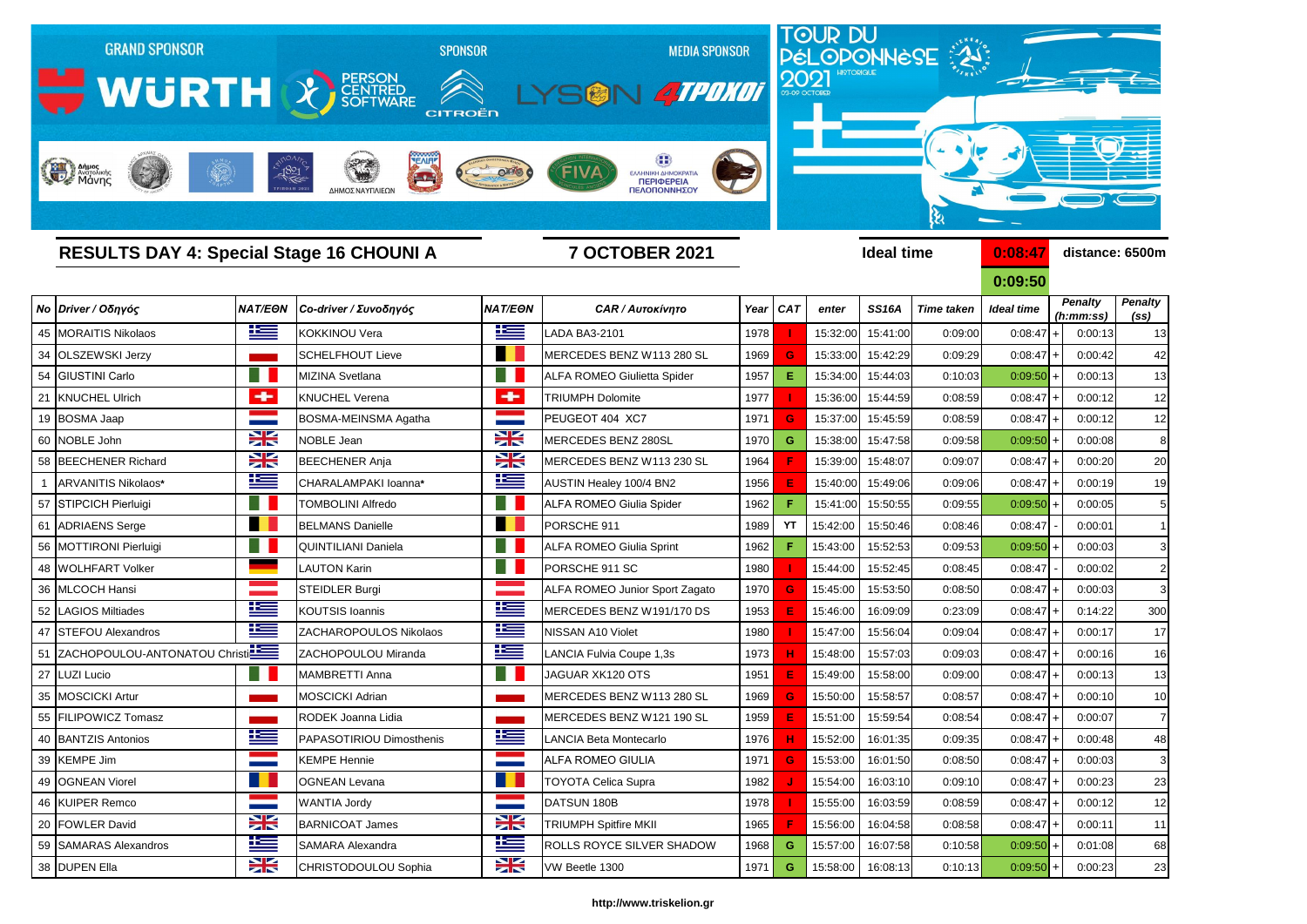

**0:09:50** *Penalty (ss) Penalty (h:mm:ss)*

|                |                                  |                |                               |                          |                                       |      |            |          |                   |                   | <u>U.UJ.JU</u>    |                             |         |                                     |
|----------------|----------------------------------|----------------|-------------------------------|--------------------------|---------------------------------------|------|------------|----------|-------------------|-------------------|-------------------|-----------------------------|---------|-------------------------------------|
|                | Νο Driver / Οδηγός               | <b>NAT/EON</b> | Co-driver / Συνοδηγός         | <b>NAT/EON</b>           | <b>CAR / Αυτοκίνητο</b>               | Year | <b>CAT</b> | enter    | <b>SS16A</b>      | <b>Time taken</b> | <b>Ideal time</b> | <b>Penalty</b><br>(h:mm:ss) |         | <b>Penalty</b><br>(s <sub>s</sub> ) |
|                | 45 MORAITIS Nikolaos             | <u>iks </u>    | <b>KOKKINOU Vera</b>          | <u>is –</u>              | <b>ADA BA3-2101</b>                   | 1978 |            | 15:32:00 | 15:41:00          | 0:09:00           | 0:08:47           | $\overline{1}$              | 0:00:13 | 13                                  |
|                | 34 OLSZEWSKI Jerzy               |                | <b>SCHELFHOUT Lieve</b>       |                          | MERCEDES BENZ W113 280 SL             | 1969 | G          | 15:33:00 | 15:42:29          | 0:09:29           | $0:08:47$ +       |                             | 0:00:42 | 42                                  |
|                | 54 GIUSTINI Carlo                |                | MIZINA Svetlana               |                          | <b>ALFA ROMEO Giulietta Spider</b>    | 1957 | Е          | 15:34:00 | 15:44:03          | 0:10:03           | 0:09:50           |                             | 0:00:13 | 13                                  |
|                | 21 KNUCHEL Ulrich                | ÷              | <b>KNUCHEL Verena</b>         | ÷                        | <b>TRIUMPH Dolomite</b>               | 1977 |            | 15:36:00 | 15:44:59          | 0:08:59           | 0:08:47           | $\overline{1}$              | 0:00:12 | 12                                  |
|                | 19 BOSMA Jaap                    |                | BOSMA-MEINSMA Agatha          | <b>Contract Contract</b> | PEUGEOT 404 XC7                       | 1971 | G          | 15:37:00 | 15:45:59          | 0:08:59           | 0:08:47           | $\overline{+}$              | 0:00:12 | 12                                  |
|                | 60 NOBLE John                    | X              | <b>NOBLE Jean</b>             | X                        | MERCEDES BENZ 280SL                   | 1970 | G          | 15:38:00 | 15:47:58          | 0:09:58           | $0:09:50$ +       |                             | 0:00:08 | 8                                   |
|                | 58 BEECHENER Richard             | <b>SK</b>      | <b>BEECHENER Anja</b>         | NZ<br>ZN                 | MERCEDES BENZ W113 230 SL             | 1964 |            | 15:39:00 | 15:48:07          | 0:09:07           | 0:08:47           | $\overline{+}$              | 0:00:20 | 2C                                  |
| $\overline{1}$ | ARVANITIS Nikolaos*              | 些              | CHARALAMPAKI Ioanna*          | <u>is –</u>              | <b>AUSTIN Healey 100/4 BN2</b>        | 1956 | Е          | 15:40:00 | 15:49:06          | 0:09:06           | 0:08:47           | $\overline{+}$              | 0:00:19 | 1 <sub>c</sub>                      |
|                | 57 STIPCICH Pierluigi            |                | <b>TOMBOLINI Alfredo</b>      | a.                       | <b>ALFA ROMEO Giulia Spider</b>       | 1962 |            | 15:41:00 | 15:50:55          | 0:09:55           | $0:09:50$ +       |                             | 0:00:05 |                                     |
|                | 61 ADRIAENS Serge                |                | <b>BELMANS Danielle</b>       |                          | PORSCHE 911                           | 1989 | <b>YT</b>  | 15:42:00 | 15:50:46          | 0:08:46           | 0:08:47           |                             | 0:00:01 |                                     |
|                | 56 MOTTIRONI Pierluigi           |                | <b>QUINTILIANI Daniela</b>    |                          | <b>ALFA ROMEO Giulia Sprint</b>       | 1962 |            | 15:43:00 | 15:52:53          | 0:09:53           | 0:09:50           | $\left  + \right $          | 0:00:03 | 3                                   |
|                | 48 WOLHFART Volker               |                | <b>LAUTON Karin</b>           | H.                       | PORSCHE 911 SC                        | 1980 |            | 15:44:00 | 15:52:45          | 0:08:45           | 0:08:47           |                             | 0:00:02 | 2                                   |
|                | 36 MLCOCH Hansi                  |                | <b>STEIDLER Burgi</b>         |                          | <b>ALFA ROMEO Junior Sport Zagato</b> | 1970 | G          | 15:45:00 | 15:53:50          | 0:08:50           | 0:08:47           | $\overline{+}$              | 0:00:03 | 3                                   |
|                | 52 LAGIOS Miltiades              | <u>ik s</u>    | <b>KOUTSIS Ioannis</b>        | <u>ts</u>                | MERCEDES BENZ W191/170 DS             | 1953 |            | 15:46:00 | 16:09:09          | 0:23:09           | 0:08:47           | $\overline{1}$              | 0:14:22 | 300                                 |
|                | 47 STEFOU Alexandros             | <u>ik –</u>    | <b>ZACHAROPOULOS Nikolaos</b> | <u>ik –</u>              | NISSAN A10 Violet                     | 1980 |            | 15:47:00 | 15:56:04          | 0:09:04           | 0:08:47           | $\overline{+}$              | 0:00:17 | 17                                  |
|                | 51 ZACHOPOULOU-ANTONATOU Christi |                | ZACHOPOULOU Miranda           | <u> اکتا</u>             | LANCIA Fulvia Coupe 1,3s              | 1973 | н          | 15:48:00 | 15:57:03          | 0:09:03           | 0:08:47           | $\overline{1}$              | 0:00:16 | 16                                  |
|                | 27 LUZI Lucio                    |                | <b>MAMBRETTI Anna</b>         | $\blacksquare$           | JAGUAR XK120 OTS                      | 1951 | E          | 15:49:00 | 15:58:00          | 0:09:00           | 0:08:47           | $\overline{+}$              | 0:00:13 | 13                                  |
|                | 35 MOSCICKI Artur                |                | <b>MOSCICKI Adrian</b>        |                          | MERCEDES BENZ W113 280 SL             | 1969 | G          | 15:50:00 | 15:58:57          | 0:08:57           | 0:08:47           | $\overline{1}$              | 0:00:10 | 10                                  |
|                | 55 FILIPOWICZ Tomasz             |                | RODEK Joanna Lidia            |                          | MERCEDES BENZ W121 190 SL             | 1959 |            | 15:51:00 | 15:59:54          | 0:08:54           | 0:08:47           | $\overline{+}$              | 0:00:07 |                                     |
|                | 40 BANTZIS Antonios              | <u>is –</u>    | PAPASOTIRIOU Dimosthenis      | 些                        | <b>LANCIA Beta Montecarlo</b>         | 1976 | н          | 15:52:00 | 16:01:35          | 0:09:35           | 0:08:47           | $\overline{+}$              | 0:00:48 | 48                                  |
|                | 39 KEMPE Jim                     |                | <b>KEMPE Hennie</b>           |                          | <b>ALFA ROMEO GIULIA</b>              | 1971 | G          | 15:53:00 | 16:01:50          | 0:08:50           | 0:08:47           | $\left  + \right $          | 0:00:03 |                                     |
|                | 49 OGNEAN Viorel                 |                | <b>OGNEAN Levana</b>          | .                        | <b>TOYOTA Celica Supra</b>            | 1982 |            | 15:54:00 | 16:03:10          | 0:09:10           | $0:08:47$ +       |                             | 0:00:23 | 23                                  |
|                | 46 KUIPER Remco                  |                | <b>WANTIA Jordy</b>           | <b>Contract</b>          | DATSUN 180B                           | 1978 |            | 15:55:00 | 16:03:59          | 0:08:59           | $0:08:47$ +       |                             | 0:00:12 | 12                                  |
|                | 20 FOWLER David                  | X              | <b>BARNICOAT James</b>        | X                        | <b>TRIUMPH Spitfire MKII</b>          | 1965 |            | 15:56:00 | 16:04:58          | 0:08:58           | $0:08:47$ +       |                             | 0:00:11 | -11                                 |
|                | 59 SAMARAS Alexandros            | <u>is </u>     | SAMARA Alexandra              | <u>is </u>               | ROLLS ROYCE SILVER SHADOW             | 1968 | G          | 15:57:00 | 16:07:58          | 0:10:58           | $0:09:50$ +       |                             | 0:01:08 | 68                                  |
|                | 38 DUPEN Ella                    | XK             | CHRISTODOULOU Sophia          | $\frac{1}{2}$            | VW Beetle 1300                        | 1971 | G          |          | 15:58:00 16:08:13 | 0:10:13           | $0:09:50$ +       |                             | 0:00:23 | 23                                  |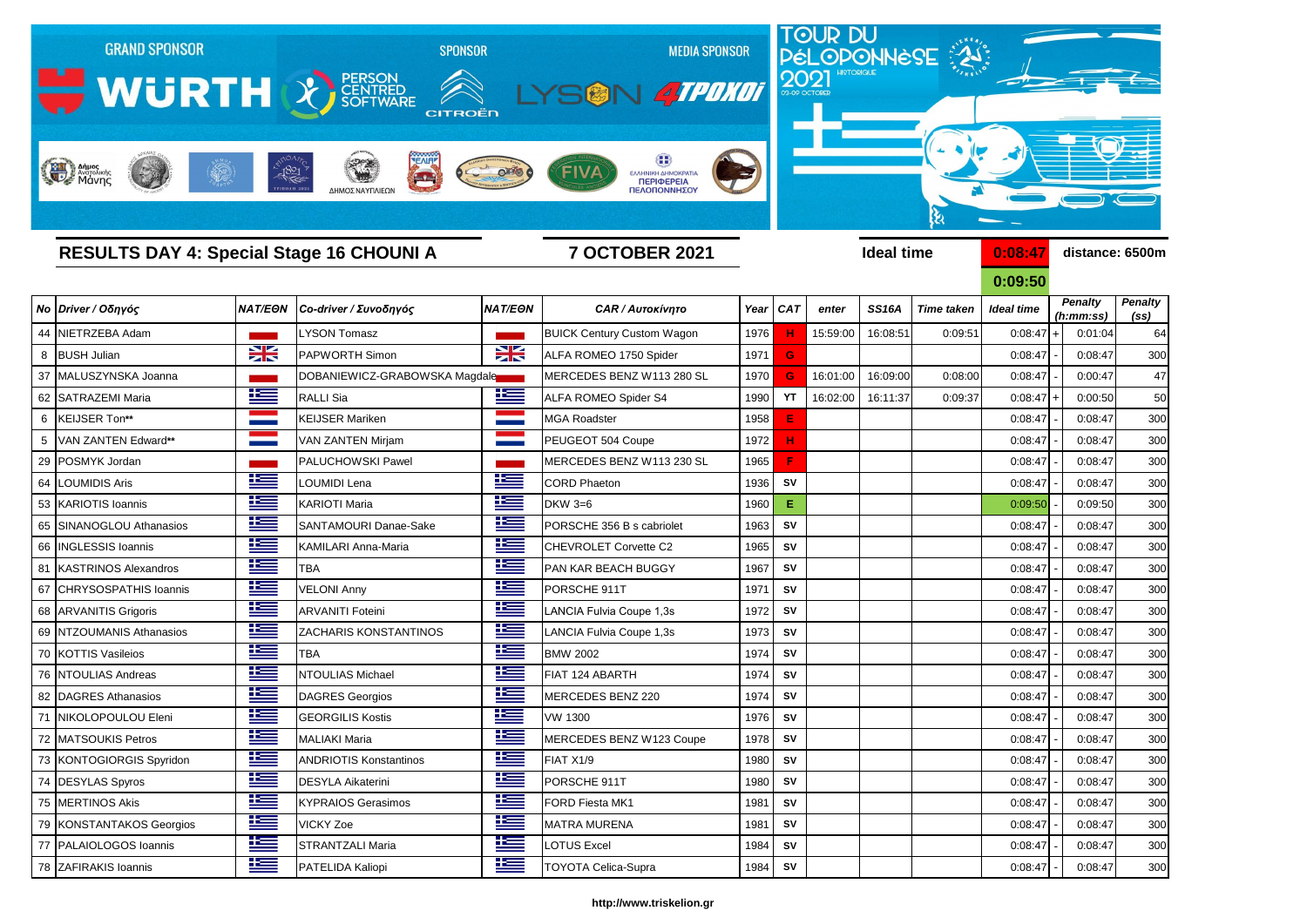

**0:09:50** *Penalty (ss) Penalty (h:mm:ss)*

|   |                          |                      |                               |                |                                   |      |            |          |              |                   | <u>U.UJ.JU</u>    |                             |                                     |
|---|--------------------------|----------------------|-------------------------------|----------------|-----------------------------------|------|------------|----------|--------------|-------------------|-------------------|-----------------------------|-------------------------------------|
|   | Νο Driver / Οδηγός       | <b>NAT/EON</b>       | Co-driver / Συνοδηγός         | <b>NAT/EON</b> | <b>CAR / Αυτοκίνητο</b>           | Year | <b>CAT</b> | enter    | <b>SS16A</b> | <b>Time taken</b> | <b>Ideal time</b> | <b>Penalty</b><br>(h:mm:ss) | <b>Penalty</b><br>(s <sub>s</sub> ) |
|   | 44 NIETRZEBA Adam        |                      | LYSON Tomasz                  |                | <b>BUICK Century Custom Wagon</b> | 1976 | н.         | 15:59:00 | 16:08:51     | 0:09:51           | 0:08:47           | 0:01:04<br>⊣                | 64                                  |
| 8 | <b>BUSH Julian</b>       | NZ<br>7 <sup>o</sup> | <b>PAPWORTH Simon</b>         | X              | ALFA ROMEO 1750 Spider            | 1971 | G          |          |              |                   | 0:08:47           | 0:08:47                     | <b>300</b>                          |
|   | 37 MALUSZYNSKA Joanna    |                      | DOBANIEWICZ-GRABOWSKA Magdale |                | MERCEDES BENZ W113 280 SL         | 1970 | G.         | 16:01:00 | 16:09:00     | 0:08:00           | 0:08:47           | 0:00:47                     | 47                                  |
|   | 62 SATRAZEMI Maria       | $\mathbf{r}$         | <b>RALLI Sia</b>              | ٢Ŧ             | <b>ALFA ROMEO Spider S4</b>       | 1990 | <b>YT</b>  | 16:02:00 | 16:11:37     | 0:09:37           | 0:08:47           | 0:00:50<br>$\overline{+}$   | <b>50</b>                           |
| 6 | KEIJSER Ton**            | <b>Service</b>       | <b>KEIJSER Mariken</b>        |                | <b>MGA Roadster</b>               | 1958 | E          |          |              |                   | 0:08:47           | 0:08:47                     | 300                                 |
| 5 | VAN ZANTEN Edward**      |                      | <b>VAN ZANTEN Mirjam</b>      |                | PEUGEOT 504 Coupe                 | 1972 | н          |          |              |                   | 0:08:47           | 0:08:47                     | <b>300</b>                          |
|   | 29 POSMYK Jordan         |                      | PALUCHOWSKI Pawel             |                | MERCEDES BENZ W113 230 SL         | 1965 | F          |          |              |                   | 0:08:47           | 0:08:47                     | 300                                 |
|   | 64   LOUMIDIS Aris       | <u>ts</u>            | LOUMIDI Lena                  | <u>is a</u>    | <b>CORD Phaeton</b>               | 1936 | <b>SV</b>  |          |              |                   | 0:08:47           | 0:08:47                     | 300                                 |
|   | 53 KARIOTIS Ioannis      |                      | <b>KARIOTI Maria</b>          | 坚              | <b>DKW 3=6</b>                    | 1960 | E.         |          |              |                   | 0:09:50           | 0:09:50                     | <b>300</b>                          |
|   | 65 SINANOGLOU Athanasios |                      | SANTAMOURI Danae-Sake         | <u> اکتا</u>   | PORSCHE 356 B s cabriolet         | 1963 | <b>SV</b>  |          |              |                   | 0:08:47           | 0:08:47                     | 300                                 |
|   | 66 INGLESSIS Ioannis     | $\frac{1}{2}$        | KAMILARI Anna-Maria           | <u> اکتا</u>   | <b>CHEVROLET Corvette C2</b>      | 1965 | <b>SV</b>  |          |              |                   | 0:08:47           | 0:08:47                     | 300                                 |
|   | 81 KASTRINOS Alexandros  |                      | <b>TBA</b>                    | <u> Kana</u>   | PAN KAR BEACH BUGGY               | 1967 | <b>SV</b>  |          |              |                   | 0:08:47           | 0:08:47                     | 300                                 |
|   | 67 CHRYSOSPATHIS Ioannis | <u>r </u>            | <b>VELONI Anny</b>            | 坚              | PORSCHE 911T                      | 197' | <b>SV</b>  |          |              |                   | 0:08:47           | 0:08:47                     | <b>300</b>                          |
|   | 68 ARVANITIS Grigoris    | $\pm$                | <b>ARVANITI Foteini</b>       | ٢              | LANCIA Fulvia Coupe 1,3s          | 1972 | <b>SV</b>  |          |              |                   | 0:08:47           | 0:08:47                     | 300                                 |
|   | 69 NTZOUMANIS Athanasios | <u>k </u>            | ZACHARIS KONSTANTINOS         | ٢              | LANCIA Fulvia Coupe 1,3s          | 1973 | <b>SV</b>  |          |              |                   | 0:08:47           | 0:08:47                     | <b>300</b>                          |
|   | 70 KOTTIS Vasileios      | <u>is –</u>          | <b>TBA</b>                    |                | <b>BMW 2002</b>                   | 1974 | <b>SV</b>  |          |              |                   | 0:08:47           | 0:08:47                     | 300                                 |
|   | 76 NTOULIAS Andreas      | <u>te</u>            | NTOULIAS Michael              | 坚              | FIAT 124 ABARTH                   | 1974 | <b>SV</b>  |          |              |                   | 0:08:47           | 0:08:47                     | <b>300</b>                          |
|   | 82   DAGRES Athanasios   | <u>te</u>            | <b>DAGRES Georgios</b>        | <u>اعتا</u>    | <b>MERCEDES BENZ 220</b>          | 1974 | <b>SV</b>  |          |              |                   | 0:08:47           | 0:08:47                     | <b>300</b>                          |
|   | 71   NIKOLOPOULOU Eleni  | <u>ik –</u>          | <b>GEORGILIS Kostis</b>       | 坚              | <b>VW 1300</b>                    | 1976 | <b>SV</b>  |          |              |                   | 0:08:47           | 0:08:47                     | 300                                 |
|   | 72 MATSOUKIS Petros      | <u>k </u>            | <b>MALIAKI Maria</b>          | <u>ik s</u>    | MERCEDES BENZ W123 Coupe          | 1978 | <b>SV</b>  |          |              |                   | 0:08:47           | 0:08:47                     | <b>300</b>                          |
|   | 73 KONTOGIORGIS Spyridon | <u>is </u>           | <b>ANDRIOTIS Konstantinos</b> | 坚              | FIAT X1/9                         | 1980 | <b>SV</b>  |          |              |                   | 0:08:47           | 0:08:47                     | <b>300</b>                          |
|   | 74 DESYLAS Spyros        | <u>ika </u>          | <b>DESYLA Aikaterini</b>      | ▀▀             | PORSCHE 911T                      | 1980 | <b>SV</b>  |          |              |                   | 0:08:47           | 0:08:47                     | 300                                 |
|   | 75 MERTINOS Akis         | <u>ik –</u>          | <b>KYPRAIOS Gerasimos</b>     | <u>ies</u>     | FORD Fiesta MK1                   | 1981 | <b>SV</b>  |          |              |                   | 0:08:47           | 0:08:47                     | 30 <sub>C</sub>                     |
|   | 79 KONSTANTAKOS Georgios | <u>is </u>           | <b>VICKY Zoe</b>              | 坚              | <b>MATRA MURENA</b>               | 1981 | SV         |          |              |                   | 0:08:47           | 0:08:47                     | 30 <sub>C</sub>                     |
|   | 77 PALAIOLOGOS Ioannis   | <u>ik –</u>          | <b>STRANTZALI Maria</b>       | <u>ies</u>     | <b>LOTUS Excel</b>                | 1984 | <b>SV</b>  |          |              |                   | 0:08:47           | 0:08:47                     | 30 <sup>C</sup>                     |
|   | 78 ZAFIRAKIS Ioannis     | <u>is </u>           | PATELIDA Kaliopi              | $\frac{1}{2}$  | <b>TOYOTA Celica-Supra</b>        | 1984 | <b>SV</b>  |          |              |                   | 0:08:47           | 0:08:47                     | 300                                 |